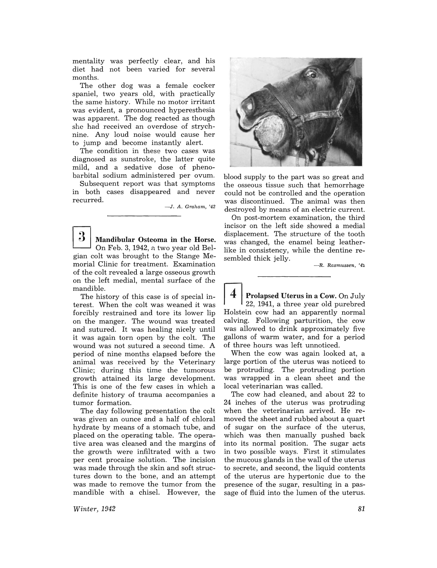mentality was perfectly clear, and his diet had not been varied for several months.

The other dog was a female cocker spaniel, two years old, with practically the same history. While no motor irritant was evident, a pronounced hyperesthesia was apparent. The dog reacted as though she had received an overdose of strychnine. Any loud noise would cause her to jump and become instantly alert.

The condition in these two cases was diagnosed as sunstroke, the latter quite mild, and a sedative dose of phenobarbital sodium administered per ovum.

Subsequent report was that symptoms in both cases disappeared and never recurred.

- J. *A. Graham, '42* 

 $3|$  Mandibular Osteoma in the Horse. On Feb. 3, 1942, n two year old Belgian colt was brought to the Stange Memorial Clinic for treatment. Examination of the colt revealed a large osseous growth on the left medial, mental surface of the mandible.

The history of this case is of special interest. When the colt was weaned it was forcibly restrained and tore its lower lip on the manger. The wound was treated and sutured. It was healing nicely until it was again torn open by the colt. The wound was not sutured a second time. A period of nine months elapsed before the animal was received by the Veterinary Clinic; during this time the tumorous growth attained its large development. This is one of the few cases in which a definite history of trauma accompanies a tumor formation.

The day following presentation the colt was given an ounce and a half of chloral hydrate by means of a stomach tube, and placed on the operating table. The operative area was cleaned and the margins of the growth were infiltrated with a two per cent procaine solution. The incision was made through the skin and soft structures down to the bone, and an attempt was made to remove the tumor from the mandible with a chisel. However, the

*Winter, 1942* 



blood supply to the part was so great and the osseous tissue such that hemorrhage could not be controlled and the operation was discontinued. The animal was then destroyed by means of an electric current.

On post-mortem examination, the third incisor on the left side showed a medial displacement. The structure of the tooth was changed, the enamel being leatherlike in consistency, while the dentine resembled thick jelly.<br><sup>--R. Rasmussen, '42</sub></sup>

Prolapsed Uterus in a Cow. On July 22, 1941, a three year old purebred Holstein cow had an apparently normal calving. Following parturition, the cow was allowed to drink approximately five gallons of warm water, and for a period of three hours was left unnoticed.

When the cow was again looked at, a large portion of the uterus was noticed to be protruding. The protruding portion was wrapped in a clean sheet and the local veterinarian was called.

The cow had cleaned, and about 22 to 24 inches of the uterus was protruding when the veterinarian arrived. He removed the sheet and rubbed about a quart of sugar on the surface of the uterus, which was then manually pushed back into its normal position. The sugar acts in two possible ways. First it stimulates the mucous glands in the wall of the uterus to secrete, and second, the liquid contents of the uterus are hypertonic due to the presence o£ the sugar, resulting in a passage of fluid into the lumen of the uterus.